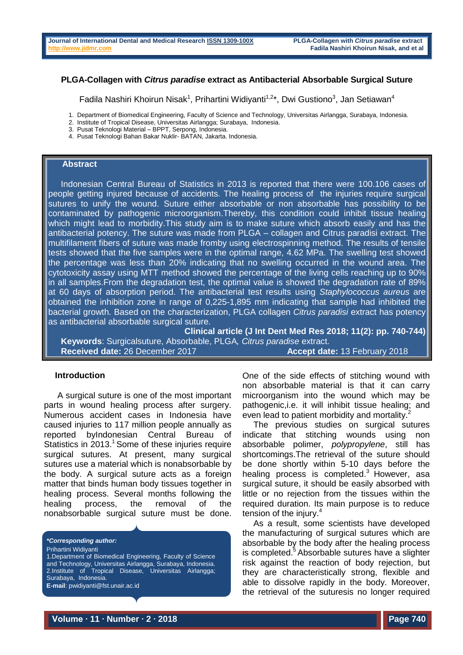### **PLGA-Collagen with** *Citrus paradise* **extract as Antibacterial Absorbable Surgical Suture**

Fadila Nashiri Khoirun Nisak<sup>1</sup>, Prihartini Widiyanti<sup>1,2\*</sup>, Dwi Gustiono<sup>3</sup>, Jan Setiawan<sup>4</sup>

1. Department of Biomedical Engineering, Faculty of Science and Technology, Universitas Airlangga, Surabaya, Indonesia.

- 2. Institute of Tropical Disease, Universitas Airlangga; Surabaya, Indonesia.
- 3. Pusat Teknologi Material BPPT, Serpong, Indonesia.
- 4. Pusat Teknologi Bahan Bakar Nuklir- BATAN, Jakarta. Indonesia.

#### **Abstract**

Indonesian Central Bureau of Statistics in 2013 is reported that there were 100.106 cases of people getting injured because of accidents. The healing process of the injuries require surgical sutures to unify the wound. Suture either absorbable or non absorbable has possibility to be contaminated by pathogenic microorganism.Thereby, this condition could inhibit tissue healing which might lead to morbidity.This study aim is to make suture which absorb easily and has the antibacterial potency. The suture was made from PLGA – collagen and Citrus paradisi extract. The multifilament fibers of suture was made fromby using electrospinning method. The results of tensile tests showed that the five samples were in the optimal range, 4.62 MPa. The swelling test showed the percentage was less than 20% indicating that no swelling occurred in the wound area. The cytotoxicity assay using MTT method showed the percentage of the living cells reaching up to 90% in all samples.From the degradation test, the optimal value is showed the degradation rate of 89% at 60 days of absorption period. The antibacterial test results using *Staphylococcus aureus* are obtained the inhibition zone in range of 0,225-1,895 mm indicating that sample had inhibited the bacterial growth. Based on the characterization, PLGA collagen *Citrus paradisi* extract has potency as antibacterial absorbable surgical suture.

**Clinical article (J Int Dent Med Res 2018; 11(2): pp. 740-744) Keywords**: Surgicalsuture, Absorbable, PLGA*, Citrus paradise* extract. **Received date:** 26 December 2017 **Accept date:** 13 February 2018

#### **Introduction**

A surgical suture is one of the most important parts in wound healing process after surgery. Numerous accident cases in Indonesia have caused injuries to 117 million people annually as reported byIndonesian Central Bureau of Statistics in 2013.<sup>1</sup> Some of these injuries require surgical sutures. At present, many surgical sutures use a material which is nonabsorbable by the body. A surgical suture acts as a foreign matter that binds human body tissues together in healing process. Several months following the healing process, the removal of the nonabsorbable surgical suture must be done.

*\*Corresponding author:* Prihartini Widiyanti 1.Department of Biomedical Engineering, Faculty of Science and Technology, Universitas Airlangga, Surabaya, Indonesia. 2.Institute of Tropical Disease, Universitas Airlangga; Surabaya, Indonesia. **E-mail**: pwidiyanti@fst.unair.ac.id

One of the side effects of stitching wound with non absorbable material is that it can carry microorganism into the wound which may be pathogenic,i.e. it will inhibit tissue healing; and even lead to patient morbidity and mortality.<sup>2</sup>

The previous studies on surgical sutures indicate that stitching wounds using non absorbable polimer, *polypropylene*, still has shortcomings.The retrieval of the suture should be done shortly within 5-10 days before the healing process is completed.<sup>3</sup> However, asa surgical suture, it should be easily absorbed with little or no rejection from the tissues within the required duration. Its main purpose is to reduce tension of the injury. 4

As a result, some scientists have developed the manufacturing of surgical sutures which are absorbable by the body after the healing process is completed.<sup>5</sup> Absorbable sutures have a slighter risk against the reaction of body rejection, but they are characteristically strong, flexible and able to dissolve rapidly in the body. Moreover, the retrieval of the suturesis no longer required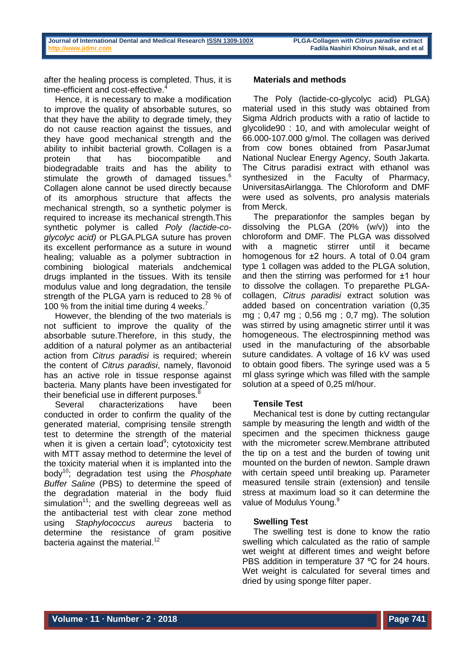after the healing process is completed. Thus, it is time-efficient and cost-effective. 4

Hence, it is necessary to make a modification to improve the quality of absorbable sutures, so that they have the ability to degrade timely, they do not cause reaction against the tissues, and they have good mechanical strength and the ability to inhibit bacterial growth. Collagen is a protein that has biocompatible and biodegradable traits and has the ability to stimulate the growth of damaged tissues.<sup>6</sup> Collagen alone cannot be used directly because of its amorphous structure that affects the mechanical strength, so a synthetic polymer is required to increase its mechanical strength.This synthetic polymer is called *Poly (lactide-coglycolyc acid)* or PLGA.PLGA suture has proven its excellent performance as a suture in wound healing; valuable as a polymer subtraction in combining biological materials andchemical drugs implanted in the tissues. With its tensile modulus value and long degradation, the tensile strength of the PLGA yarn is reduced to 28 % of 100 % from the initial time during 4 weeks.<sup>7</sup>

However, the blending of the two materials is not sufficient to improve the quality of the absorbable suture.Therefore, in this study, the addition of a natural polymer as an antibacterial action from *Citrus paradisi* is required; wherein the content of *Citrus paradisi*, namely, flavonoid has an active role in tissue response against bacteria. Many plants have been investigated for their beneficial use in different purposes. $8$ 

Several characterizations have been conducted in order to confirm the quality of the generated material, comprising tensile strength test to determine the strength of the material when it is given a certain load<sup>9</sup>; cytotoxicity test with MTT assay method to determine the level of the toxicity material when it is implanted into the body<sup>10</sup>; degradation test using the *Phosphate Buffer Saline* (PBS) to determine the speed of the degradation material in the body fluid simulation<sup>11</sup>; and the swelling degreeas well as the antibacterial test with clear zone method using *Staphylococcus aureus* bacteria to determine the resistance of gram positive bacteria against the material.<sup>12</sup>

# **Materials and methods**

The Poly (lactide-co-glycolyc acid) PLGA) material used in this study was obtained from Sigma Aldrich products with a ratio of lactide to glycolide90 : 10, and with amolecular weight of 66.000-107.000 g/mol. The collagen was derived from cow bones obtained from PasarJumat National Nuclear Energy Agency, South Jakarta. The Citrus paradisi extract with ethanol was synthesized in the Faculty of Pharmacy, UniversitasAirlangga. The Chloroform and DMF were used as solvents, pro analysis materials from Merck.

The preparationfor the samples began by dissolving the PLGA (20% (w/v)) into the chloroform and DMF. The PLGA was dissolved with a magnetic stirrer until it became homogenous for ±2 hours. A total of 0.04 gram type 1 collagen was added to the PLGA solution, and then the stirring was performed for ±1 hour to dissolve the collagen. To preparethe PLGAcollagen, *Citrus paradisi* extract solution was added based on concentration variation (0,35 mg ; 0,47 mg ; 0,56 mg ; 0,7 mg). The solution was stirred by using amagnetic stirrer until it was homogeneous. The electrospinning method was used in the manufacturing of the absorbable suture candidates. A voltage of 16 kV was used to obtain good fibers. The syringe used was a 5 ml glass syringe which was filled with the sample solution at a speed of 0,25 ml/hour.

# **Tensile Test**

Mechanical test is done by cutting rectangular sample by measuring the length and width of the specimen and the specimen thickness gauge with the micrometer screw.Membrane attributed the tip on a test and the burden of towing unit mounted on the burden of newton. Sample drawn with certain speed until breaking up. Parameter measured tensile strain (extension) and tensile stress at maximum load so it can determine the value of Modulus Young.<sup>9</sup>

# **Swelling Test**

The swelling test is done to know the ratio swelling which calculated as the ratio of sample wet weight at different times and weight before PBS addition in temperature 37 °C for 24 hours. Wet weight is calculated for several times and dried by using sponge filter paper.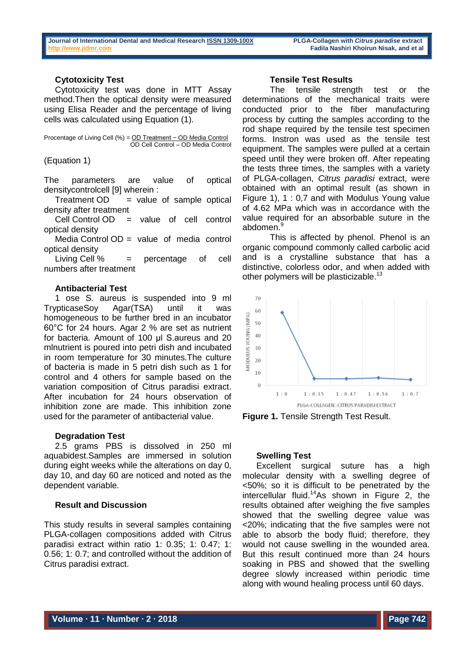# **Cytotoxicity Test**

Cytotoxicity test was done in MTT Assay method.Then the optical density were measured using Elisa Reader and the percentage of living cells was calculated using Equation (1).

Procentage of Living Cell (%) = OD Treatment − OD Media Control OD Cell Control – OD Media Control

# (Equation 1)

The parameters are value of optical densitycontrolcell [9] wherein :

Treatment  $OD = value of sample optical$ density after treatment

Cell Control OD = value of cell control optical density

Media Control OD = value of media control optical density

Living Cell % = percentage of cell numbers after treatment

# **Antibacterial Test**

1 ose S. aureus is suspended into 9 ml TrypticaseSoy Agar(TSA) until it was homogeneous to be further bred in an incubator 60°C for 24 hours. Agar 2 % are set as nutrient for bacteria. Amount of 100 μl S.aureus and 20 mlnutrient is poured into petri dish and incubated in room temperature for 30 minutes.The culture of bacteria is made in 5 petri dish such as 1 for control and 4 others for sample based on the variation composition of Citrus paradisi extract. After incubation for 24 hours observation of inhibition zone are made. This inhibition zone used for the parameter of antibacterial value.

# **Degradation Test**

2.5 grams PBS is dissolved in 250 ml aquabidest.Samples are immersed in solution during eight weeks while the alterations on day 0, day 10, and day 60 are noticed and noted as the dependent variable.

# **Result and Discussion**

This study results in several samples containing PLGA-collagen compositions added with Citrus paradisi extract within ratio 1: 0.35; 1: 0.47; 1: 0.56; 1: 0.7; and controlled without the addition of Citrus paradisi extract.

#### **Tensile Test Results**

The tensile strength test or the determinations of the mechanical traits were conducted prior to the fiber manufacturing process by cutting the samples according to the rod shape required by the tensile test specimen forms. Instron was used as the tensile test equipment. The samples were pulled at a certain speed until they were broken off. After repeating the tests three times, the samples with a variety of PLGA-collagen, *Citrus paradisi* extract, were obtained with an optimal result (as shown in Figure 1), 1 : 0,7 and with Modulus Young value of 4.62 MPa which was in accordance with the value required for an absorbable suture in the abdomen.<sup>9</sup>

This is affected by phenol. Phenol is an organic compound commonly called carbolic acid and is a crystalline substance that has a distinctive, colorless odor, and when added with other polymers will be plasticizable.<sup>13</sup>



**Figure 1. Tensile Strength Test Result.** 

# **Swelling Test**

Excellent surgical suture has a high molecular density with a swelling degree of <50%; so it is difficult to be penetrated by the intercellular fluid. <sup>14</sup>As shown in Figure 2, the results obtained after weighing the five samples showed that the swelling degree value was <20%; indicating that the five samples were not able to absorb the body fluid; therefore, they would not cause swelling in the wounded area. But this result continued more than 24 hours soaking in PBS and showed that the swelling degree slowly increased within periodic time along with wound healing process until 60 days.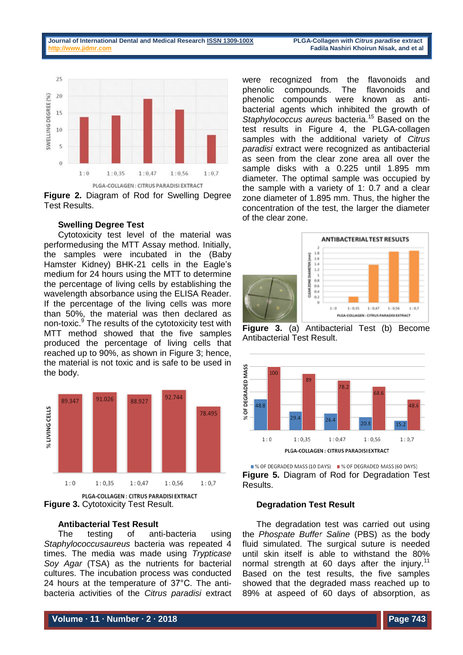#### **Journal of International Dental and Medical Researc[h ISSN 1309-100X](http://www.ektodermaldisplazi.com/dergi.htm) PLGA-Collagen with** *Citrus paradise* **extract [http://www.jidmr.com](http://www.jidmr.com/) Fadila Nashiri Khoirun Nisak, and et al**



**Figure 2.** Diagram of Rod for Swelling Degree Test Results.

### **Swelling Degree Test**

Cytotoxicity test level of the material was performedusing the MTT Assay method. Initially, the samples were incubated in the (Baby Hamster Kidney) BHK-21 cells in the Eagle's medium for 24 hours using the MTT to determine the percentage of living cells by establishing the wavelength absorbance using the ELISA Reader. If the percentage of the living cells was more than 50%, the material was then declared as non-toxic.<sup>9</sup> The results of the cytotoxicity test with MTT method showed that the five samples produced the percentage of living cells that reached up to 90%, as shown in Figure 3; hence, the material is not toxic and is safe to be used in the body.



**Figure 3.** Cytotoxicity Test Result.

#### **Antibacterial Test Result**

The testing of anti-bacteria using *Staphylococcusaureus* bacteria was repeated 4 times. The media was made using *Trypticase Soy Agar* (TSA) as the nutrients for bacterial cultures. The incubation process was conducted 24 hours at the temperature of 37°C. The antibacteria activities of the *Citrus paradisi* extract

were recognized from the flavonoids and phenolic compounds. The flavonoids and phenolic compounds were known as antibacterial agents which inhibited the growth of *Staphylococcus aureus* bacteria.<sup>15</sup> Based on the test results in Figure 4, the PLGA-collagen samples with the additional variety of *Citrus paradisi* extract were recognized as antibacterial as seen from the clear zone area all over the sample disks with a 0.225 until 1.895 mm diameter. The optimal sample was occupied by the sample with a variety of 1: 0.7 and a clear zone diameter of 1.895 mm. Thus, the higher the concentration of the test, the larger the diameter of the clear zone.



**Figure 3.** (a) Antibacterial Test (b) Become Antibacterial Test Result.



<sup>■ %</sup> OF DEGRADED MASS (10 DAYS) ■ % OF DEGRADED MASS (60 DAYS) **Figure 5.** Diagram of Rod for Degradation Test Results.

#### **Degradation Test Result**

The degradation test was carried out using the *Phospate Buffer Saline* (PBS) as the body fluid simulated. The surgical suture is needed until skin itself is able to withstand the 80% normal strength at 60 days after the injury.<sup>11</sup> Based on the test results, the five samples showed that the degraded mass reached up to 89% at aspeed of 60 days of absorption, as